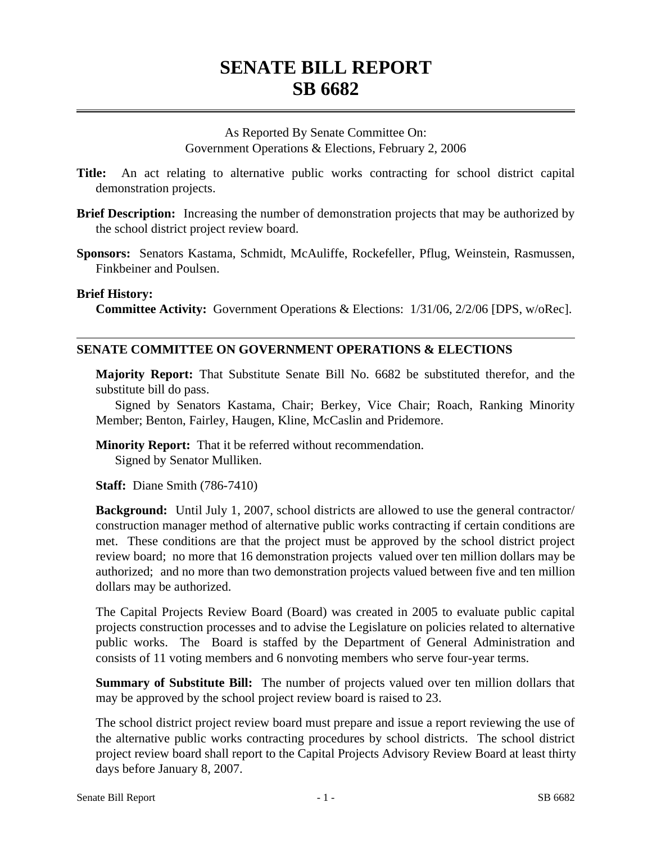As Reported By Senate Committee On: Government Operations & Elections, February 2, 2006

- **Title:** An act relating to alternative public works contracting for school district capital demonstration projects.
- **Brief Description:** Increasing the number of demonstration projects that may be authorized by the school district project review board.
- **Sponsors:** Senators Kastama, Schmidt, McAuliffe, Rockefeller, Pflug, Weinstein, Rasmussen, Finkbeiner and Poulsen.

## **Brief History:**

**Committee Activity:** Government Operations & Elections: 1/31/06, 2/2/06 [DPS, w/oRec].

## **SENATE COMMITTEE ON GOVERNMENT OPERATIONS & ELECTIONS**

**Majority Report:** That Substitute Senate Bill No. 6682 be substituted therefor, and the substitute bill do pass.

Signed by Senators Kastama, Chair; Berkey, Vice Chair; Roach, Ranking Minority Member; Benton, Fairley, Haugen, Kline, McCaslin and Pridemore.

**Minority Report:** That it be referred without recommendation. Signed by Senator Mulliken.

**Staff:** Diane Smith (786-7410)

**Background:** Until July 1, 2007, school districts are allowed to use the general contractor/ construction manager method of alternative public works contracting if certain conditions are met. These conditions are that the project must be approved by the school district project review board; no more that 16 demonstration projects valued over ten million dollars may be authorized; and no more than two demonstration projects valued between five and ten million dollars may be authorized.

The Capital Projects Review Board (Board) was created in 2005 to evaluate public capital projects construction processes and to advise the Legislature on policies related to alternative public works. The Board is staffed by the Department of General Administration and consists of 11 voting members and 6 nonvoting members who serve four-year terms.

**Summary of Substitute Bill:** The number of projects valued over ten million dollars that may be approved by the school project review board is raised to 23.

The school district project review board must prepare and issue a report reviewing the use of the alternative public works contracting procedures by school districts. The school district project review board shall report to the Capital Projects Advisory Review Board at least thirty days before January 8, 2007.